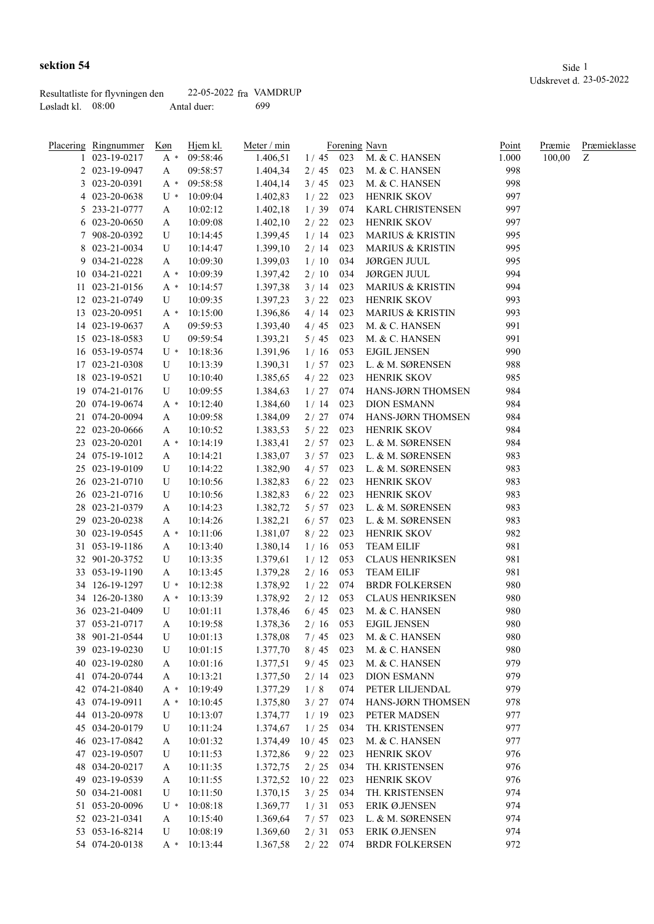|                     | Resultatliste for flyvningen den | 22-05-2022 fra VAMDRUP |     |
|---------------------|----------------------------------|------------------------|-----|
| Løsladt kl. $08:00$ |                                  | Antal duer:            | 699 |

| sektion 54                       |                           | Side                    |
|----------------------------------|---------------------------|-------------------------|
|                                  |                           | Udskrevet d. 23-05-2022 |
| Decultatliste for flywningen den | $22-05-2022$ from VAMDRUP |                         |

| Placering Ringnummer | Køn       | Hjem kl. | Meter / min |            |     | Forening Navn               | <u>Point</u> | <b>Præmie</b> | <b>Præmieklasse</b> |
|----------------------|-----------|----------|-------------|------------|-----|-----------------------------|--------------|---------------|---------------------|
| 1 023-19-0217        | $A^*$     | 09:58:46 | 1.406,51    |            |     | 1/45 023 M. & C. HANSEN     | 1.000        | 100,00        | Ζ                   |
| 2 023-19-0947        | A         | 09:58:57 | 1.404,34    | 2/45       | 023 | M. & C. HANSEN              | 998          |               |                     |
| 3 023-20-0391        | A *       | 09:58:58 | 1.404,14    | 3/45       | 023 | M. & C. HANSEN              | 998          |               |                     |
| 4 023-20-0638        | U *       | 10:09:04 | 1.402,83    | 1/22       | 023 | HENRIK SKOV                 | 997          |               |                     |
| 5 233-21-0777        | A         | 10:02:12 | 1.402,18    | 1/39       | 074 | <b>KARL CHRISTENSEN</b>     | 997          |               |                     |
| 6 023-20-0650        | A         | 10:09:08 | 1.402,10    | $2/22$     | 023 | HENRIK SKOV                 | 997          |               |                     |
| 7 908-20-0392        | U         | 10:14:45 | 1.399,45    | 1/14       | 023 | <b>MARIUS &amp; KRISTIN</b> | 995          |               |                     |
| 8 023-21-0034        | U         | 10:14:47 | 1.399,10    | 2/14       | 023 | <b>MARIUS &amp; KRISTIN</b> | 995          |               |                     |
| 9 034-21-0228        | A         | 10:09:30 | 1.399,03    | 1/10       | 034 | <b>JØRGEN JUUL</b>          | 995          |               |                     |
| 10 034-21-0221       | $A^*$     | 10:09:39 | 1.397,42    | 2/10       | 034 | <b>JØRGEN JUUL</b>          | 994          |               |                     |
| 11 023-21-0156       | $A^*$     | 10:14:57 | 1.397,38    | 3/14       | 023 | <b>MARIUS &amp; KRISTIN</b> | 994          |               |                     |
| 12 023-21-0749       | U         | 10:09:35 | 1.397,23    | 3/22       | 023 | HENRIK SKOV                 | 993          |               |                     |
| 13 023-20-0951       | $A^*$     | 10:15:00 | 1.396,86    | 4/14       | 023 | <b>MARIUS &amp; KRISTIN</b> | 993          |               |                     |
| 14 023-19-0637       | A         | 09:59:53 | 1.393,40    | 4/45       | 023 | M. & C. HANSEN              | 991          |               |                     |
| 15 023-18-0583       | U         | 09:59:54 | 1.393,21    | 5/45       | 023 | M. & C. HANSEN              | 991          |               |                     |
| 16 053-19-0574       | $U^*$     | 10:18:36 | 1.391,96    | 1/16       | 053 | <b>EJGIL JENSEN</b>         | 990          |               |                     |
| 17 023-21-0308       | U         | 10:13:39 | 1.390,31    | 1/57       | 023 | L. & M. SØRENSEN            | 988          |               |                     |
| 18 023-19-0521       | U         | 10:10:40 | 1.385,65    | 4/22       | 023 | <b>HENRIK SKOV</b>          | 985          |               |                     |
| 19 074-21-0176       | U         | 10:09:55 | 1.384,63    | 1/27       | 074 | HANS-JØRN THOMSEN           | 984          |               |                     |
| 20 074-19-0674       | $A^*$     | 10:12:40 | 1.384,60    | 1/14       | 023 | <b>DION ESMANN</b>          | 984          |               |                     |
| 21 074-20-0094       | A         | 10:09:58 | 1.384,09    | 2/27       | 074 | HANS-JØRN THOMSEN           | 984          |               |                     |
| 22 023-20-0666       | A         | 10:10:52 | 1.383,53    | $5/22$     | 023 | <b>HENRIK SKOV</b>          | 984          |               |                     |
| 23 023-20-0201       | A *       | 10:14:19 | 1.383,41    | 2/57       | 023 | L. & M. SØRENSEN            | 984          |               |                     |
| 24 075-19-1012       | A         | 10:14:21 | 1.383,07    | 3/57       | 023 | L. & M. SØRENSEN            | 983          |               |                     |
| 25 023-19-0109       | U         | 10:14:22 | 1.382,90    | 4/57       | 023 | L. & M. SØRENSEN            | 983          |               |                     |
| 26 023-21-0710       | U         | 10:10:56 | 1.382,83    | $6/22$     | 023 | HENRIK SKOV                 | 983          |               |                     |
| 26 023-21-0716       | U         | 10:10:56 | 1.382,83    | 6/22       | 023 | HENRIK SKOV                 | 983          |               |                     |
| 28 023-21-0379       | A         | 10:14:23 | 1.382,72    | 5/57       | 023 | L. & M. SØRENSEN            | 983          |               |                     |
| 29 023-20-0238       | A         | 10:14:26 | 1.382,21    | 6/57       | 023 | L. & M. SØRENSEN            | 983          |               |                     |
| 30 023-19-0545       | A *       | 10:11:06 | 1.381,07    | 8/22       | 023 | HENRIK SKOV                 | 982          |               |                     |
| 31 053-19-1186       | A         | 10:13:40 | 1.380,14    | 1/16       | 053 | <b>TEAM EILIF</b>           | 981          |               |                     |
| 32 901-20-3752       | U         | 10:13:35 | 1.379,61    | 1/12       | 053 | <b>CLAUS HENRIKSEN</b>      | 981          |               |                     |
| 33 053-19-1190       | A         | 10:13:45 | 1.379,28    | 2/16       | 053 | <b>TEAM EILIF</b>           | 981          |               |                     |
| 34 126-19-1297       | $U^*$     | 10:12:38 | 1.378,92    | 1/22       | 074 | <b>BRDR FOLKERSEN</b>       | 980          |               |                     |
| 34 126-20-1380       | A *       | 10:13:39 | 1.378,92    | 2/12       | 053 | <b>CLAUS HENRIKSEN</b>      | 980          |               |                     |
| 36 023-21-0409       | U         | 10:01:11 | 1.378,46    | 6/45       | 023 | M. & C. HANSEN              | 980          |               |                     |
| 37 053-21-0717       | A         | 10:19:58 | 1.378,36    | $2/16$ 053 |     | <b>EJGIL JENSEN</b>         | 980          |               |                     |
| 38 901-21-0544       | ${\bf U}$ | 10:01:13 | 1.378,08    | 7/45       | 023 | M. & C. HANSEN              | 980          |               |                     |
| 39 023-19-0230       | U         | 10:01:15 | 1.377,70    | 8/45       | 023 | M. & C. HANSEN              | 980          |               |                     |
| 40 023-19-0280       | A         | 10:01:16 | 1.377,51    | 9/45       | 023 | M. & C. HANSEN              | 979          |               |                     |
| 41 074-20-0744       | A         | 10:13:21 | 1.377,50    | 2/14       | 023 | <b>DION ESMANN</b>          | 979          |               |                     |
| 42 074-21-0840       | $A^*$     | 10:19:49 | 1.377,29    | 1/8        | 074 | PETER LILJENDAL             | 979          |               |                     |
| 43 074-19-0911       | $A^*$     | 10:10:45 | 1.375,80    | 3/27       | 074 | HANS-JØRN THOMSEN           | 978          |               |                     |
| 44 013-20-0978       | U         | 10:13:07 | 1.374,77    | 1/19       | 023 | PETER MADSEN                | 977          |               |                     |
| 45 034-20-0179       |           | 10:11:24 | 1.374,67    | 1/25       | 034 | TH. KRISTENSEN              | 977          |               |                     |
|                      | U         |          |             |            |     |                             | 977          |               |                     |
| 46 023-17-0842       | A         | 10:01:32 | 1.374,49    | 10/45      | 023 | M. & C. HANSEN              |              |               |                     |
| 47 023-19-0507       | U         | 10:11:53 | 1.372,86    | 9/22       | 023 | <b>HENRIK SKOV</b>          | 976          |               |                     |
| 48 034-20-0217       | A         | 10:11:35 | 1.372,75    | 2/25       | 034 | TH. KRISTENSEN              | 976          |               |                     |
| 49 023-19-0539       | A         | 10:11:55 | 1.372,52    | 10/22      | 023 | <b>HENRIK SKOV</b>          | 976          |               |                     |
| 50 034-21-0081       | U         | 10:11:50 | 1.370,15    | 3/25       | 034 | TH. KRISTENSEN              | 974          |               |                     |
| 51 053-20-0096       | $U^*$     | 10:08:18 | 1.369,77    | 1/31       | 053 | ERIK Ø.JENSEN               | 974          |               |                     |
| 52 023-21-0341       | A         | 10:15:40 | 1.369,64    | 7/57       | 023 | L. & M. SØRENSEN            | 974          |               |                     |
| 53 053-16-8214       | U         | 10:08:19 | 1.369,60    | 2/31       | 053 | ERIK Ø.JENSEN               | 974          |               |                     |
| 54 074-20-0138       | $A^*$     | 10:13:44 | 1.367,58    | 2/22       | 074 | <b>BRDR FOLKERSEN</b>       | 972          |               |                     |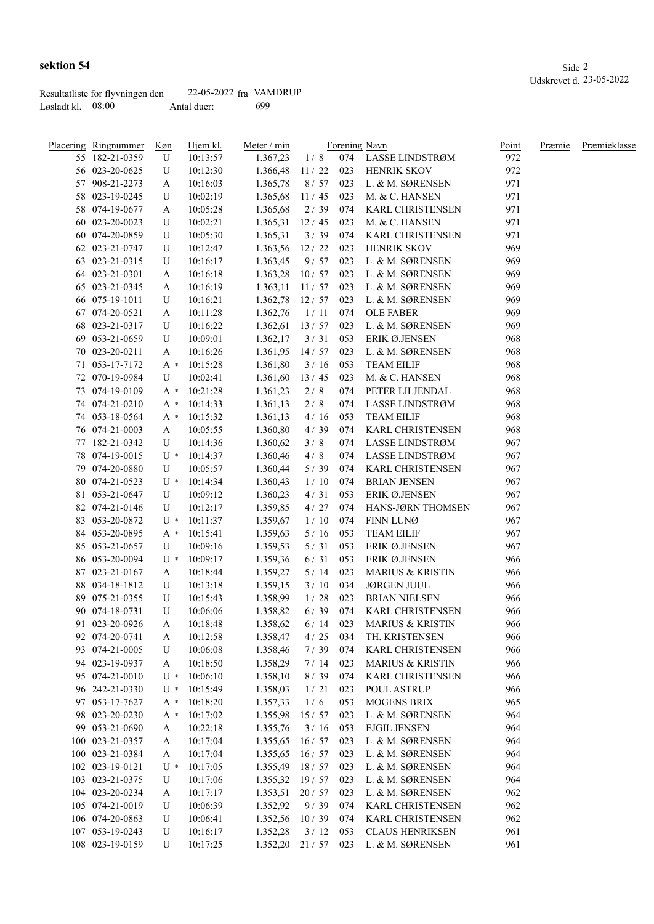|                     | Resultatliste for flyvningen den | 22-05-2022 fra VAMDRUP |      |
|---------------------|----------------------------------|------------------------|------|
| Løsladt kl. $08:00$ |                                  | Antal duer:            | -699 |

| <u>Placering Ringnummer</u> | Køn   | Hjem kl.             | Meter / min          |            |     | Forening Navn               | Point | Præmie | Præmieklasse |
|-----------------------------|-------|----------------------|----------------------|------------|-----|-----------------------------|-------|--------|--------------|
| 55 182-21-0359              | U     | 10:13:57             | 1.367,23             | 1/8        |     | 074 LASSE LINDSTRØM         | 972   |        |              |
| 56 023-20-0625              | U     | 10:12:30             | 1.366,48             | 11/22      | 023 | <b>HENRIK SKOV</b>          | 972   |        |              |
| 57 908-21-2273              | A     | 10:16:03             | 1.365,78             | 8/57       | 023 | L. & M. SØRENSEN            | 971   |        |              |
| 58 023-19-0245              | U     | 10:02:19             | 1.365,68             | 11/45      | 023 | M. & C. HANSEN              | 971   |        |              |
| 58 074-19-0677              | A     | 10:05:28             | 1.365,68             | 2/39       | 074 | KARL CHRISTENSEN            | 971   |        |              |
| 60 023-20-0023              | U     | 10:02:21             | 1.365,31             | 12/45      | 023 | M. & C. HANSEN              | 971   |        |              |
| 60 074-20-0859              | U     | 10:05:30             | 1.365,31             | 3/39       | 074 | <b>KARL CHRISTENSEN</b>     | 971   |        |              |
| 62 023-21-0747              | U     | 10:12:47             | 1.363,56             | 12/22      | 023 | HENRIK SKOV                 | 969   |        |              |
| 63 023-21-0315              | U     | 10:16:17             | 1.363,45             | 9/57       | 023 | L. & M. SØRENSEN            | 969   |        |              |
| 64 023-21-0301              | A     | 10:16:18             | 1.363,28             | 10/57      | 023 | L. & M. SØRENSEN            | 969   |        |              |
| 65 023-21-0345              | A     | 10:16:19             | 1.363,11             | 11/57      | 023 | L. & M. SØRENSEN            | 969   |        |              |
| 66 075-19-1011              | U     | 10:16:21             | 1.362,78             | 12/57      | 023 | L. & M. SØRENSEN            | 969   |        |              |
| 67 074-20-0521              | A     | 10:11:28             | 1.362,76             | 1/11       | 074 | <b>OLE FABER</b>            | 969   |        |              |
| 68 023-21-0317              | U     | 10:16:22             | 1.362,61             | 13/57      | 023 | L. & M. SØRENSEN            | 969   |        |              |
| 69 053-21-0659              | U     | 10:09:01             | 1.362,17             | 3/31       | 053 | ERIK Ø.JENSEN               | 968   |        |              |
| 70 023-20-0211              | A     | 10:16:26             | 1.361,95             | 14/57      | 023 | L. & M. SØRENSEN            | 968   |        |              |
| 71 053-17-7172              | $A^*$ | 10:15:28             | 1.361,80             | 3/16       | 053 | <b>TEAM EILIF</b>           | 968   |        |              |
| 72 070-19-0984              | U     | 10:02:41             | 1.361,60             | 13/45      | 023 | M. & C. HANSEN              | 968   |        |              |
| 73 074-19-0109              | $A^*$ | 10:21:28             | 1.361,23             | 2/8        | 074 | PETER LILJENDAL             | 968   |        |              |
| 74 074-21-0210              | $A^*$ | 10:14:33             | 1.361,13             | 2/8        | 074 | LASSE LINDSTRØM             | 968   |        |              |
| 74 053-18-0564              | $A^*$ | 10:15:32             | 1.361,13             | 4/16       | 053 | <b>TEAM EILIF</b>           | 968   |        |              |
| 76 074-21-0003              | A     | 10:05:55             | 1.360,80             | 4/39       | 074 | <b>KARL CHRISTENSEN</b>     | 968   |        |              |
|                             |       |                      |                      |            |     | LASSE LINDSTRØM             | 967   |        |              |
| 77 182-21-0342              | U     | 10:14:36<br>10:14:37 | 1.360,62             | 3/8        | 074 |                             | 967   |        |              |
| 78 074-19-0015              | $U^*$ |                      | 1.360,46             | 4/8        | 074 | LASSE LINDSTRØM             |       |        |              |
| 79 074-20-0880              | U     | 10:05:57             | 1.360,44             | 5/39       | 074 | KARL CHRISTENSEN            | 967   |        |              |
| 80 074-21-0523              | $U^*$ | 10:14:34             | 1.360,43             | 1/10       | 074 | <b>BRIAN JENSEN</b>         | 967   |        |              |
| 81 053-21-0647              | U     | 10:09:12             | 1.360,23             | 4/31       | 053 | ERIK Ø.JENSEN               | 967   |        |              |
| 82 074-21-0146              | U     | 10:12:17             | 1.359,85             | 4/27       | 074 | HANS-JØRN THOMSEN           | 967   |        |              |
| 83 053-20-0872              | $U^*$ | 10:11:37             | 1.359,67             | 1/10       | 074 | FINN LUNØ                   | 967   |        |              |
| 84 053-20-0895              | $A^*$ | 10:15:41             | 1.359,63             | 5/16       | 053 | <b>TEAM EILIF</b>           | 967   |        |              |
| 85 053-21-0657              | U     | 10:09:16             | 1.359,53             | 5/31       | 053 | ERIK Ø.JENSEN               | 967   |        |              |
| 86 053-20-0094              | U *   | 10:09:17             | 1.359,36             | 6/31       | 053 | ERIK Ø.JENSEN               | 966   |        |              |
| 87 023-21-0167              | A     | 10:18:44             | 1.359,27             | 5/14       | 023 | <b>MARIUS &amp; KRISTIN</b> | 966   |        |              |
| 88 034-18-1812              | U     | 10:13:18             | 1.359,15             | 3/10       | 034 | <b>JØRGEN JUUL</b>          | 966   |        |              |
| 89 075-21-0355              | U     | 10:15:43             | 1.358,99             | 1/28       | 023 | <b>BRIAN NIELSEN</b>        | 966   |        |              |
| 90 074-18-0731              | U     | 10:06:06             | 1.358,82             | 6/39       | 074 | KARL CHRISTENSEN            | 966   |        |              |
| 91 023-20-0926              | A     | 10:18:48             | 1.358,62             | $6/14$ 023 |     | <b>MARIUS &amp; KRISTIN</b> | 966   |        |              |
| 92 074-20-0741              | A     | 10:12:58             | 1.358,47             | 4/25       | 034 | TH. KRISTENSEN              | 966   |        |              |
| 93 074-21-0005              | U     | 10:06:08             | 1.358,46             | 7/39       | 074 | <b>KARL CHRISTENSEN</b>     | 966   |        |              |
| 94 023-19-0937              | A     | 10:18:50             | 1.358,29             | 7/14       | 023 | <b>MARIUS &amp; KRISTIN</b> | 966   |        |              |
| 95 074-21-0010              | $U^*$ | 10:06:10             | 1.358,10             | 8/39       | 074 | KARL CHRISTENSEN            | 966   |        |              |
| 96 242-21-0330              |       | $U * 10:15:49$       | 1.358,03             | 1/21       | 023 | POUL ASTRUP                 | 966   |        |              |
| 97 053-17-7627              | A *   | 10:18:20             | 1.357,33             | 1/6        | 053 | <b>MOGENS BRIX</b>          | 965   |        |              |
| 98 023-20-0230              | A *   | 10:17:02             | 1.355,98             | 15/57      | 023 | L. & M. SØRENSEN            | 964   |        |              |
| 99 053-21-0690              | A     | 10:22:18             | 1.355,76             | 3/16       | 053 | <b>EJGIL JENSEN</b>         | 964   |        |              |
| 100 023-21-0357             | A     | 10:17:04             | 1.355,65             | 16/57      | 023 | L. & M. SØRENSEN            | 964   |        |              |
| 100 023-21-0384             | A     | 10:17:04             | 1.355,65             | 16/57      | 023 | L. & M. SØRENSEN            | 964   |        |              |
| 102 023-19-0121             | $U^*$ | 10:17:05             | $1.355,49$ 18 / 57   |            | 023 | L. & M. SØRENSEN            | 964   |        |              |
| 103 023-21-0375             | U     | 10:17:06             | $1.355,32$ 19/57     |            | 023 | L. & M. SØRENSEN            | 964   |        |              |
| 104 023-20-0234             | A     | 10:17:17             | $1.353,51$ 20/57     |            | 023 | L. & M. SØRENSEN            | 962   |        |              |
| 105 074-21-0019             | U     | 10:06:39             | 1.352,92             | 9/39       | 074 | KARL CHRISTENSEN            | 962   |        |              |
| 106 074-20-0863             | U     | 10:06:41             | 1.352,56 10/39       |            | 074 | KARL CHRISTENSEN            | 962   |        |              |
| 107 053-19-0243             | U     | 10:16:17             | 1.352,28             | 3/12       | 053 | <b>CLAUS HENRIKSEN</b>      | 961   |        |              |
| 108 023-19-0159             | U     | 10:17:25             | $1.352,20$ 21/57 023 |            |     | L. & M. SØRENSEN            | 961   |        |              |
|                             |       |                      |                      |            |     |                             |       |        |              |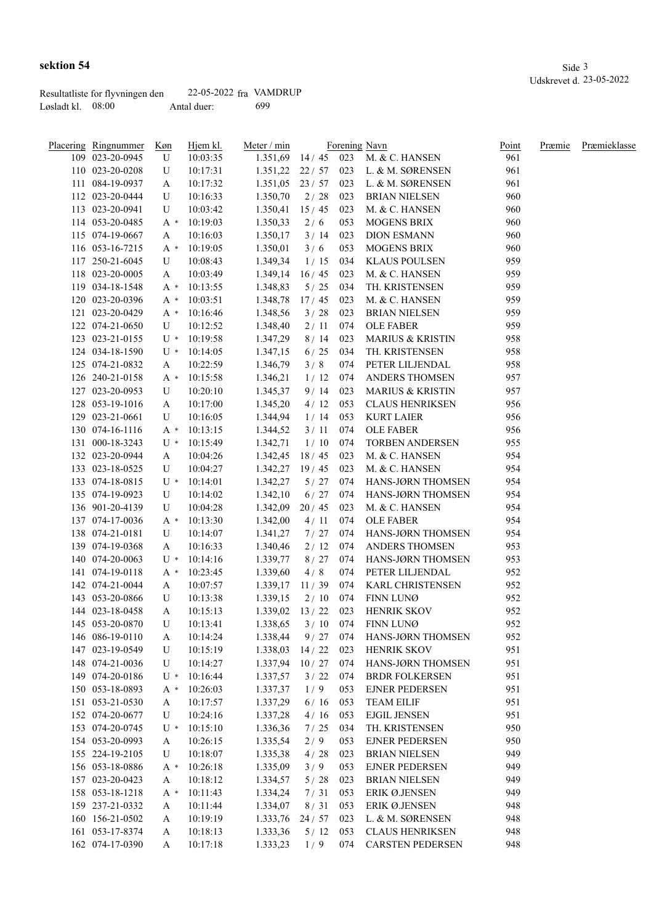| Placering Ringnummer | <u>Køn</u> | Hjem kl.       | Meter / min          |            |     | Forening Navn               | <u>Point</u> | Præmie | Præmieklasse |
|----------------------|------------|----------------|----------------------|------------|-----|-----------------------------|--------------|--------|--------------|
| 109 023-20-0945      | U          | 10:03:35       | 1.351,69             |            |     | 14 / 45 023 M. & C. HANSEN  | 961          |        |              |
| 110 023-20-0208      | U          | 10:17:31       | $1.351,22$ 22/57 023 |            |     | L. & M. SØRENSEN            | 961          |        |              |
| 111 084-19-0937      | A          | 10:17:32       | $1.351,05$ 23/57 023 |            |     | L. & M. SØRENSEN            | 961          |        |              |
| 112 023-20-0444      | U          | 10:16:33       | 1.350,70             | 2/28       | 023 | <b>BRIAN NIELSEN</b>        | 960          |        |              |
| 113 023-20-0941      | U          | 10:03:42       | 1.350,41             | 15/45      | 023 | M. & C. HANSEN              | 960          |        |              |
| 114 053-20-0485      | A *        | 10:19:03       | 1.350,33             | 2/6        | 053 | <b>MOGENS BRIX</b>          | 960          |        |              |
| 115 074-19-0667      | A          | 10:16:03       | 1.350,17             | 3/14       | 023 | <b>DION ESMANN</b>          | 960          |        |              |
| 116 053-16-7215      | A *        | 10:19:05       | 1.350,01             | 3/6        | 053 | <b>MOGENS BRIX</b>          | 960          |        |              |
| 117 250-21-6045      | U          | 10:08:43       | 1.349,34             | 1/15       | 034 | KLAUS POULSEN               | 959          |        |              |
| 118 023-20-0005      | A          | 10:03:49       | 1.349,14             | 16/45      | 023 | M. & C. HANSEN              | 959          |        |              |
| 119 034-18-1548      | A *        | 10:13:55       | 1.348,83             | 5/25       | 034 | TH. KRISTENSEN              | 959          |        |              |
| 120 023-20-0396      | A *        | 10:03:51       | 1.348,78             | 17/45      | 023 | M. & C. HANSEN              | 959          |        |              |
| 121 023-20-0429      |            | $A * 10:16:46$ | 1.348,56             | 3/28       | 023 | <b>BRIAN NIELSEN</b>        | 959          |        |              |
| 122 074-21-0650      | U          | 10:12:52       | 1.348,40             | 2/11       | 074 | <b>OLE FABER</b>            | 959          |        |              |
| 123 023-21-0155      |            | $U * 10:19:58$ | 1.347,29             | 8/14       | 023 | <b>MARIUS &amp; KRISTIN</b> | 958          |        |              |
| 124 034-18-1590      |            | $U * 10:14:05$ | 1.347,15             | 6/25       | 034 | TH. KRISTENSEN              | 958          |        |              |
| 125 074-21-0832      | A          | 10:22:59       | 1.346,79             | 3/8        | 074 | PETER LILJENDAL             | 958          |        |              |
| 126 240-21-0158      | $A^*$      | 10:15:58       | 1.346,21             | 1/12       | 074 | ANDERS THOMSEN              | 957          |        |              |
| 127 023-20-0953      | U          | 10:20:10       | 1.345,37             | 9/14       | 023 | <b>MARIUS &amp; KRISTIN</b> | 957          |        |              |
| 128 053-19-1016      | A          | 10:17:00       | 1.345,20             | 4/12       | 053 | <b>CLAUS HENRIKSEN</b>      | 956          |        |              |
| 129 023-21-0661      | U          | 10:16:05       | 1.344,94             | 1/14       | 053 | <b>KURT LAIER</b>           | 956          |        |              |
| 130 074-16-1116      | A *        | 10:13:15       | 1.344,52             | 3/11       | 074 | <b>OLE FABER</b>            | 956          |        |              |
| 131 000-18-3243      | U *        | 10:15:49       | 1.342,71             | 1/10       | 074 | <b>TORBEN ANDERSEN</b>      | 955          |        |              |
| 132 023-20-0944      | A          | 10:04:26       | 1.342,45             | 18/45      | 023 | M. & C. HANSEN              | 954          |        |              |
| 133 023-18-0525      | U          | 10:04:27       | 1.342,27             | 19/45      | 023 | M. & C. HANSEN              | 954          |        |              |
| 133 074-18-0815      | U *        | 10:14:01       | 1.342,27             | 5/27       | 074 | HANS-JØRN THOMSEN           | 954          |        |              |
| 135 074-19-0923      | U          | 10:14:02       | 1.342,10             | 6/27       | 074 | HANS-JØRN THOMSEN           | 954          |        |              |
| 136 901-20-4139      | U          | 10:04:28       | 1.342,09             | 20/45      | 023 | M. & C. HANSEN              | 954          |        |              |
| 137 074-17-0036      | A *        | 10:13:30       | 1.342,00             | 4/11       | 074 | <b>OLE FABER</b>            | 954          |        |              |
| 138 074-21-0181      | U          | 10:14:07       | 1.341,27             | 7/27       | 074 | HANS-JØRN THOMSEN           | 954          |        |              |
| 139 074-19-0368      | A          | 10:16:33       | 1.340,46             | 2/12       | 074 | ANDERS THOMSEN              | 953          |        |              |
| 140 074-20-0063      | U *        | 10:14:16       | 1.339,77             | 8/27       | 074 | HANS-JØRN THOMSEN           | 953          |        |              |
| 141 074-19-0118      | A *        | 10:23:45       | 1.339,60             | 4/8        | 074 | PETER LILJENDAL             | 952          |        |              |
| 142 074-21-0044      | A          | 10:07:57       | 1.339,17             | 11/39      | 074 | KARL CHRISTENSEN            | 952          |        |              |
| 143 053-20-0866      | U          | 10:13:38       | 1.339,15             | 2/10       | 074 | FINN LUNØ                   | 952          |        |              |
| 144 023-18-0458      | A          | 10:15:13       | 1.339,02             | 13/22      | 023 | <b>HENRIK SKOV</b>          | 952          |        |              |
| 145 053-20-0870      | U          | 10:13:41       | 1.338,65             | $3/10$ 074 |     | FINN LUNØ                   | 952          |        |              |
| 146 086-19-0110      |            | 10:14:24       | 1.338,44             | 9/27       | 074 | HANS-JØRN THOMSEN           | 952          |        |              |
| 147 023-19-0549      | A<br>U     | 10:15:19       | 1.338,03             | 14/22      | 023 | HENRIK SKOV                 | 951          |        |              |
| 148 074-21-0036      | U          | 10:14:27       | 1.337,94             | 10/27      | 074 | HANS-JØRN THOMSEN           | 951          |        |              |
| 149 074-20-0186      | U *        | 10:16:44       | 1.337,57             | 3/22       | 074 | <b>BRDR FOLKERSEN</b>       | 951          |        |              |
| 150 053-18-0893      | A *        | 10:26:03       | 1.337,37             | 1/9        | 053 | <b>EJNER PEDERSEN</b>       | 951          |        |              |
| 151 053-21-0530      | A          | 10:17:57       | 1.337,29             | 6/16       | 053 | <b>TEAM EILIF</b>           | 951          |        |              |
| 152 074-20-0677      | U          | 10:24:16       | 1.337,28             | 4/16       | 053 | <b>EJGIL JENSEN</b>         | 951          |        |              |
| 153 074-20-0745      | $U^*$      | 10:15:10       | 1.336,36             | 7/25       | 034 | TH. KRISTENSEN              | 950          |        |              |
| 154 053-20-0993      |            | 10:26:15       | 1.335,54             | 2/9        | 053 | <b>EJNER PEDERSEN</b>       | 950          |        |              |
| 155 224-19-2105      | A          | 10:18:07       | 1.335,38             |            | 023 | <b>BRIAN NIELSEN</b>        | 949          |        |              |
|                      | U          |                |                      | 4/28       |     |                             | 949          |        |              |
| 156 053-18-0886      | A *        | 10:26:18       | 1.335,09             | 3/9        | 053 | <b>EJNER PEDERSEN</b>       | 949          |        |              |
| 157 023-20-0423      | A          | 10:18:12       | 1.334,57             | 5/28       | 023 | <b>BRIAN NIELSEN</b>        |              |        |              |
| 158 053-18-1218      | $A^*$      | 10:11:43       | 1.334,24             | 7/31       | 053 | ERIK Ø.JENSEN               | 949          |        |              |
| 159 237-21-0332      | A          | 10:11:44       | 1.334,07             | 8/31       | 053 | ERIK Ø.JENSEN               | 948          |        |              |
| 160 156-21-0502      | A          | 10:19:19       | 1.333,76             | 24/57      | 023 | L. & M. SØRENSEN            | 948          |        |              |
| 161 053-17-8374      | A          | 10:18:13       | 1.333,36             | 5/12       | 053 | <b>CLAUS HENRIKSEN</b>      | 948          |        |              |
| 162 074-17-0390      | A          | 10:17:18       | 1.333,23             | 1/9        | 074 | <b>CARSTEN PEDERSEN</b>     | 948          |        |              |